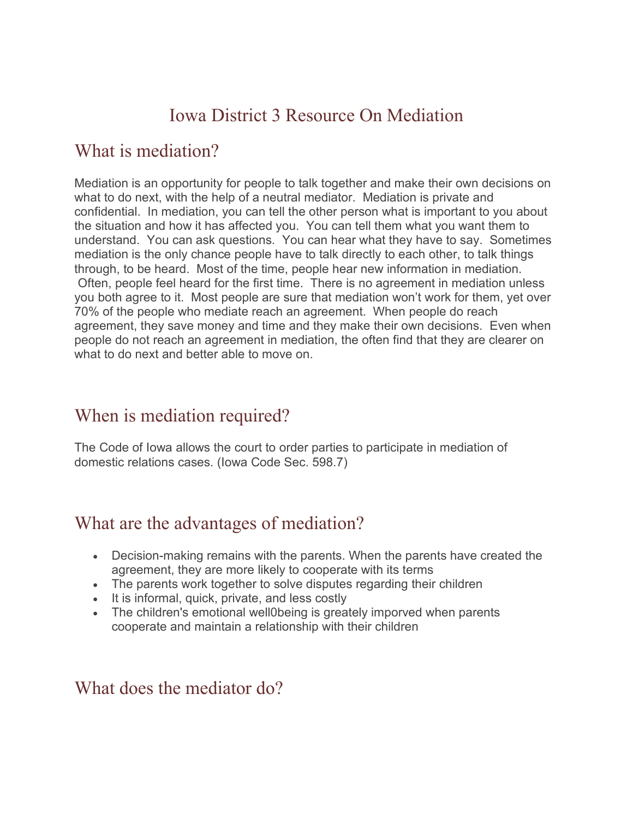# Iowa District 3 Resource On Mediation

#### What is mediation?

Mediation is an opportunity for people to talk together and make their own decisions on what to do next, with the help of a neutral mediator. Mediation is private and confidential. In mediation, you can tell the other person what is important to you about the situation and how it has affected you. You can tell them what you want them to understand. You can ask questions. You can hear what they have to say. Sometimes mediation is the only chance people have to talk directly to each other, to talk things through, to be heard. Most of the time, people hear new information in mediation. Often, people feel heard for the first time. There is no agreement in mediation unless you both agree to it. Most people are sure that mediation won't work for them, yet over 70% of the people who mediate reach an agreement. When people do reach agreement, they save money and time and they make their own decisions. Even when people do not reach an agreement in mediation, the often find that they are clearer on what to do next and better able to move on.

### When is mediation required?

The Code of Iowa allows the court to order parties to participate in mediation of domestic relations cases. (Iowa Code Sec. 598.7)

### What are the advantages of mediation?

- Decision-making remains with the parents. When the parents have created the agreement, they are more likely to cooperate with its terms
- The parents work together to solve disputes regarding their children
- It is informal, quick, private, and less costly
- The children's emotional well0being is greately imporved when parents cooperate and maintain a relationship with their children

#### What does the mediator do?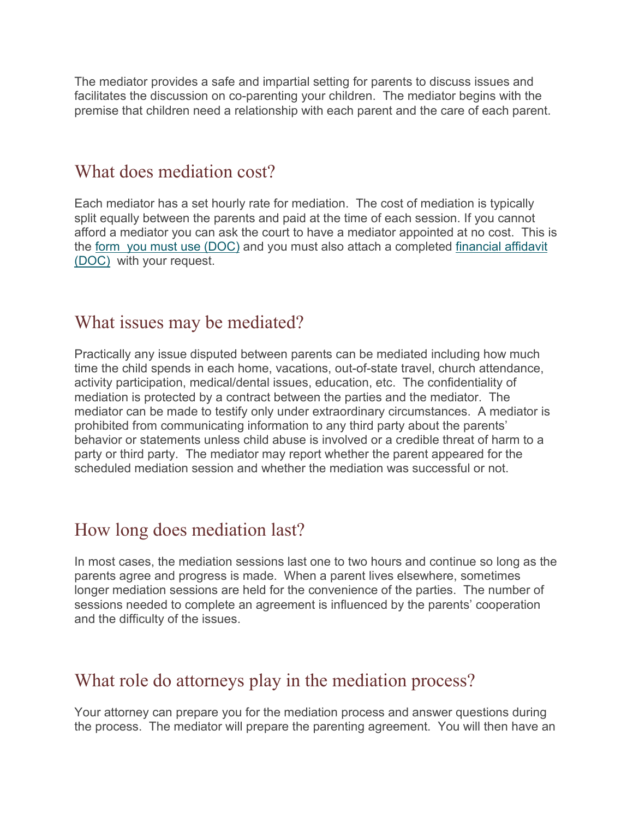The mediator provides a safe and impartial setting for parents to discuss issues and facilitates the discussion on co-parenting your children. The mediator begins with the premise that children need a relationship with each parent and the care of each parent.

#### What does mediation cost?

Each mediator has a set hourly rate for mediation. The cost of mediation is typically split equally between the parents and paid at the time of each session. If you cannot afford a mediator you can ask the court to have a mediator appointed at no cost. This is the [form you must use \(DOC\)](https://www.iowacourts.gov/media/cms/APPLICATION_for_pro_bono_mediator_9ED4AAC89F48A.doc) and you must also attach a completed [financial affidavit](https://www.iowacourts.gov/media/cms/Financial_Affidavit_B518E8702E449.docx)  [\(DOC\)](https://www.iowacourts.gov/media/cms/Financial_Affidavit_B518E8702E449.docx) with your request.

#### What issues may be mediated?

Practically any issue disputed between parents can be mediated including how much time the child spends in each home, vacations, out-of-state travel, church attendance, activity participation, medical/dental issues, education, etc. The confidentiality of mediation is protected by a contract between the parties and the mediator. The mediator can be made to testify only under extraordinary circumstances. A mediator is prohibited from communicating information to any third party about the parents' behavior or statements unless child abuse is involved or a credible threat of harm to a party or third party. The mediator may report whether the parent appeared for the scheduled mediation session and whether the mediation was successful or not.

### How long does mediation last?

In most cases, the mediation sessions last one to two hours and continue so long as the parents agree and progress is made. When a parent lives elsewhere, sometimes longer mediation sessions are held for the convenience of the parties. The number of sessions needed to complete an agreement is influenced by the parents' cooperation and the difficulty of the issues.

### What role do attorneys play in the mediation process?

Your attorney can prepare you for the mediation process and answer questions during the process. The mediator will prepare the parenting agreement. You will then have an